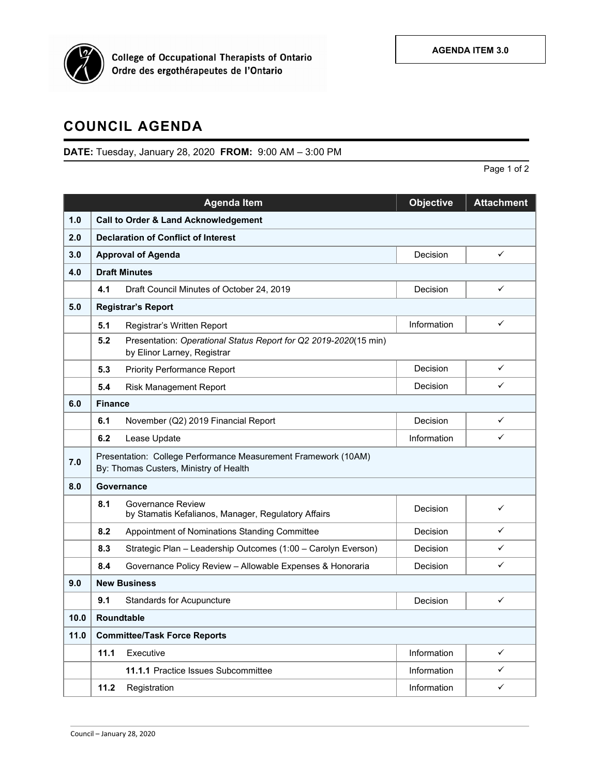

## **COUNCIL AGENDA**

## **DATE:** Tuesday, January 28, 2020 **FROM:** 9:00 AM – 3:00 PM

Page 1 of 2

|      |                                                                                                          | <b>Agenda Item</b>                                                                              | <b>Objective</b> | <b>Attachment</b> |  |  |  |
|------|----------------------------------------------------------------------------------------------------------|-------------------------------------------------------------------------------------------------|------------------|-------------------|--|--|--|
| 1.0  | <b>Call to Order &amp; Land Acknowledgement</b>                                                          |                                                                                                 |                  |                   |  |  |  |
| 2.0  | <b>Declaration of Conflict of Interest</b>                                                               |                                                                                                 |                  |                   |  |  |  |
| 3.0  | <b>Approval of Agenda</b>                                                                                |                                                                                                 | Decision         | $\checkmark$      |  |  |  |
| 4.0  | <b>Draft Minutes</b>                                                                                     |                                                                                                 |                  |                   |  |  |  |
|      | 4.1                                                                                                      | Draft Council Minutes of October 24, 2019                                                       | Decision         | $\checkmark$      |  |  |  |
| 5.0  | <b>Registrar's Report</b>                                                                                |                                                                                                 |                  |                   |  |  |  |
|      | 5.1                                                                                                      | Registrar's Written Report                                                                      | Information      | $\checkmark$      |  |  |  |
|      | 5.2                                                                                                      | Presentation: Operational Status Report for Q2 2019-2020(15 min)<br>by Elinor Larney, Registrar |                  |                   |  |  |  |
|      | 5.3                                                                                                      | <b>Priority Performance Report</b>                                                              | Decision         | ✓                 |  |  |  |
|      | 5.4                                                                                                      | <b>Risk Management Report</b>                                                                   | Decision         | ✓                 |  |  |  |
| 6.0  | <b>Finance</b>                                                                                           |                                                                                                 |                  |                   |  |  |  |
|      | 6.1                                                                                                      | November (Q2) 2019 Financial Report                                                             | Decision         | ✓                 |  |  |  |
|      | 6.2                                                                                                      | Lease Update                                                                                    | Information      | ✓                 |  |  |  |
| 7.0  | Presentation: College Performance Measurement Framework (10AM)<br>By: Thomas Custers, Ministry of Health |                                                                                                 |                  |                   |  |  |  |
| 8.0  | Governance                                                                                               |                                                                                                 |                  |                   |  |  |  |
|      | 8.1                                                                                                      | Governance Review<br>by Stamatis Kefalianos, Manager, Regulatory Affairs                        | Decision         | $\checkmark$      |  |  |  |
|      | 8.2                                                                                                      | Appointment of Nominations Standing Committee                                                   | Decision         | ✓                 |  |  |  |
|      | 8.3                                                                                                      | Strategic Plan - Leadership Outcomes (1:00 - Carolyn Everson)                                   | Decision         | ✓                 |  |  |  |
|      | 8.4                                                                                                      | Governance Policy Review - Allowable Expenses & Honoraria                                       | Decision         | ✓                 |  |  |  |
| 9.0  | <b>New Business</b>                                                                                      |                                                                                                 |                  |                   |  |  |  |
|      | 9.1                                                                                                      | <b>Standards for Acupuncture</b>                                                                | Decision         | $\checkmark$      |  |  |  |
| 10.0 | <b>Roundtable</b>                                                                                        |                                                                                                 |                  |                   |  |  |  |
| 11.0 | <b>Committee/Task Force Reports</b>                                                                      |                                                                                                 |                  |                   |  |  |  |
|      | 11.1                                                                                                     | Executive                                                                                       | Information      | $\checkmark$      |  |  |  |
|      |                                                                                                          | 11.1.1 Practice Issues Subcommittee                                                             | Information      | $\checkmark$      |  |  |  |
|      | 11.2                                                                                                     | Registration                                                                                    | Information      | ✓                 |  |  |  |